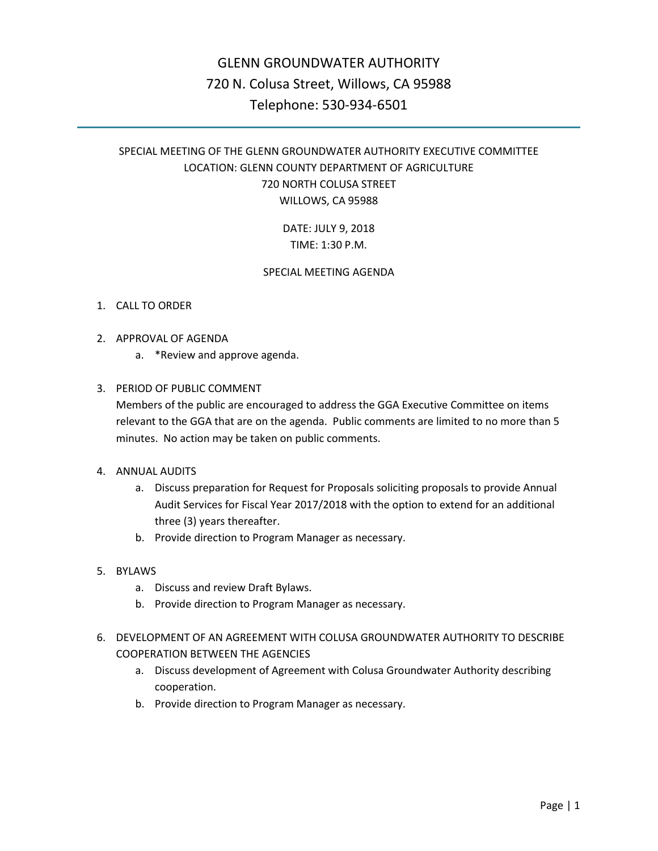# GLENN GROUNDWATER AUTHORITY 720 N. Colusa Street, Willows, CA 95988 Telephone: 530-934-6501

## SPECIAL MEETING OF THE GLENN GROUNDWATER AUTHORITY EXECUTIVE COMMITTEE LOCATION: GLENN COUNTY DEPARTMENT OF AGRICULTURE 720 NORTH COLUSA STREET WILLOWS, CA 95988

DATE: JULY 9, 2018 TIME: 1:30 P.M.

### SPECIAL MEETING AGENDA

#### 1. CALL TO ORDER

- 2. APPROVAL OF AGENDA
	- a. \*Review and approve agenda.

#### 3. PERIOD OF PUBLIC COMMENT

Members of the public are encouraged to address the GGA Executive Committee on items relevant to the GGA that are on the agenda. Public comments are limited to no more than 5 minutes. No action may be taken on public comments.

#### 4. ANNUAL AUDITS

- a. Discuss preparation for Request for Proposals soliciting proposals to provide Annual Audit Services for Fiscal Year 2017/2018 with the option to extend for an additional three (3) years thereafter.
- b. Provide direction to Program Manager as necessary.
- 5. BYLAWS
	- a. Discuss and review Draft Bylaws.
	- b. Provide direction to Program Manager as necessary.
- 6. DEVELOPMENT OF AN AGREEMENT WITH COLUSA GROUNDWATER AUTHORITY TO DESCRIBE COOPERATION BETWEEN THE AGENCIES
	- a. Discuss development of Agreement with Colusa Groundwater Authority describing cooperation.
	- b. Provide direction to Program Manager as necessary.